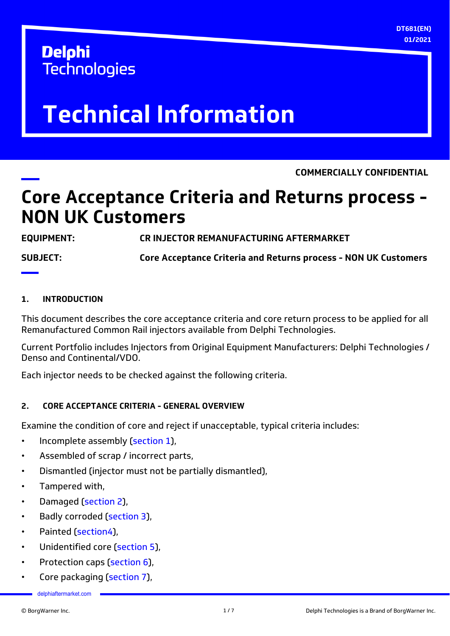**DT681(EN) 01/2021**

## **Delphi Technologies**

# **Technical Information**

**COMMERCIALLY CONFIDENTIAL**

## **Core Acceptance Criteria and Returns process - NON UK Customers**

**EQUIPMENT: CR INJECTOR REMANUFACTURING AFTERMARKET**

**SUBJECT: Core Acceptance Criteria and Returns process - NON UK Customers**

## **1. INTRODUCTION**

This document describes the core acceptance criteria and core return process to be applied for all Remanufactured Common Rail injectors available from Delphi Technologies.

Current Portfolio includes Injectors from Original Equipment Manufacturers: Delphi Technologies / Denso and Continental/VDO.

Each injector needs to be checked against the following criteria.

## **2. CORE ACCEPTANCE CRITERIA - GENERAL OVERVIEW**

Examine the condition of core and reject if unacceptable, typical criteria includes:

- Incomplete assembly ([section 1](#page-1-0)),
- Assembled of scrap / incorrect parts,
- Dismantled (injector must not be partially dismantled),
- Tampered with,
- Damaged ([section 2](#page-1-0)),
- Badly corroded ([section 3\)](#page-3-0).
- Painted [\(section4](#page-4-0)),
- Unidentified core ([section 5](#page-4-0)),
- Protection caps [\(section 6](#page-5-0)),
- Core packaging [\(section 7](#page-5-0)),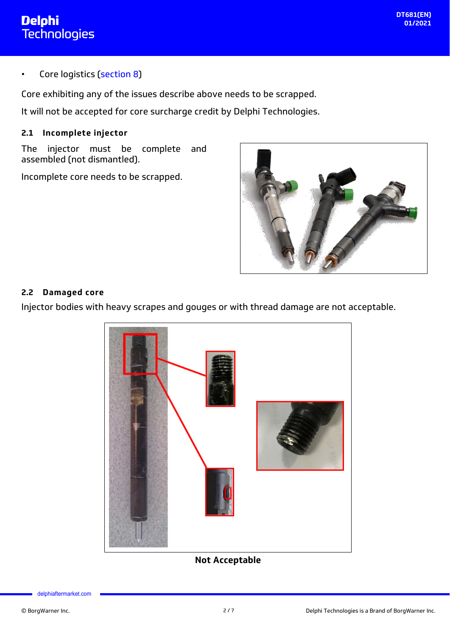<span id="page-1-0"></span>Core logistics [\(section 8](#page-5-0))

Core exhibiting any of the issues describe above needs to be scrapped.

It will not be accepted for core surcharge credit by Delphi Technologies.

## **2.1 Incomplete injector**

The injector must be complete and assembled (not dismantled).

Incomplete core needs to be scrapped.



## **2.2 Damaged core**

Injector bodies with heavy scrapes and gouges or with thread damage are not acceptable.



## **Not Acceptable**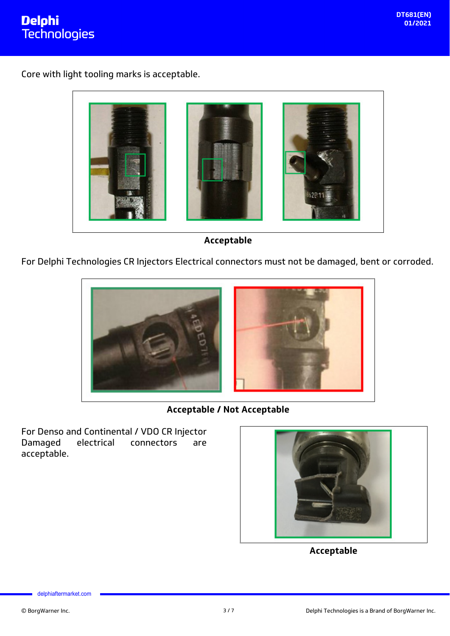

Core with light tooling marks is acceptable.



**Acceptable**

For Delphi Technologies CR Injectors Electrical connectors must not be damaged, bent or corroded.



**Acceptable / Not Acceptable**

For Denso and Continental / VDO CR Injector<br>Damaged electrical connectors are Damaged electrical connectors are acceptable.



**Acceptable**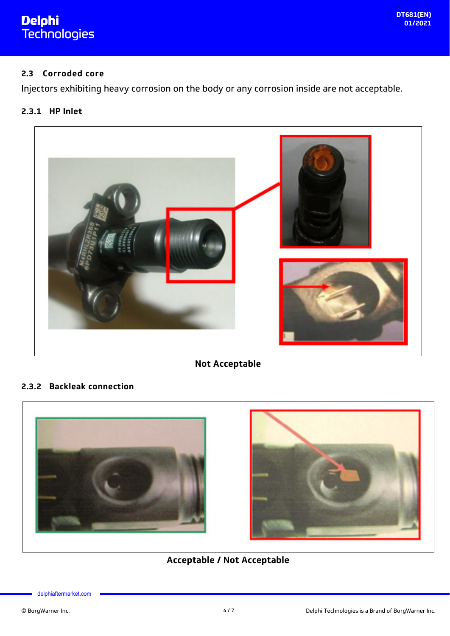# <span id="page-3-0"></span><mark>Delphi</mark><br>Technologies

## **2.3 Corroded core**

Injectors exhibiting heavy corrosion on the body or any corrosion inside are not acceptable.

## **2.3.1 HP Inlet**



**Not Acceptable**

## **2.3.2 Backleak connection**





## **Acceptable / Not Acceptable**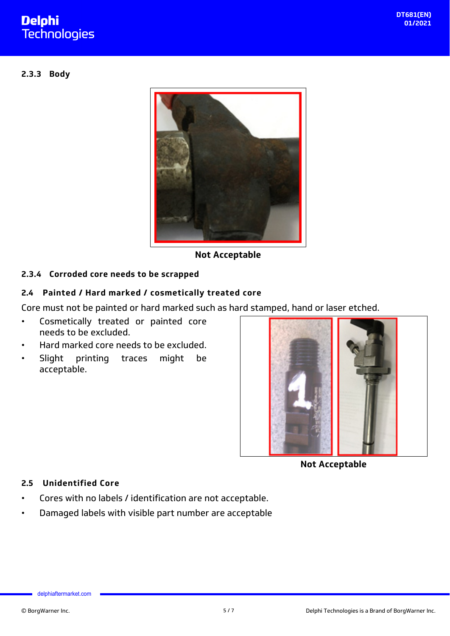## <span id="page-4-0"></span>**Delphi Technologies**

### **2.3.3 Body**



**Not Acceptable**

## **2.3.4 Corroded core needs to be scrapped**

## **2.4 Painted / Hard marked / cosmetically treated core**

Core must not be painted or hard marked such as hard stamped, hand or laser etched.

- Cosmetically treated or painted core needs to be excluded.
- Hard marked core needs to be excluded.
- Slight printing traces might be acceptable.



**Not Acceptable**

## **2.5 Unidentified Core**

- Cores with no labels / identification are not acceptable.
- Damaged labels with visible part number are acceptable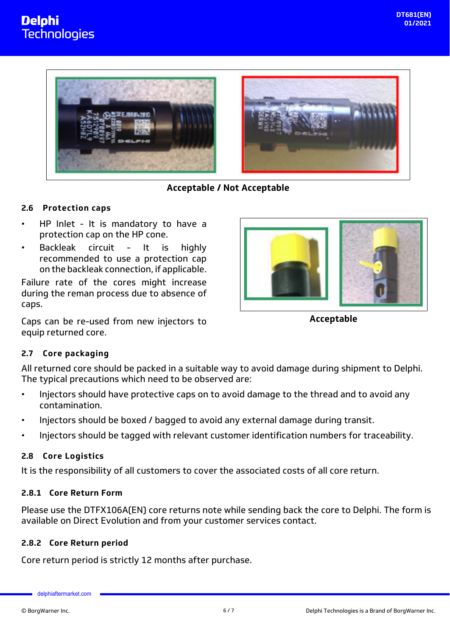<span id="page-5-0"></span>



**Acceptable / Not Acceptable**

#### **2.6 Protection caps**

- HP Inlet It is mandatory to have a protection cap on the HP cone.
- Backleak circuit It is highly recommended to use a protection cap on the backleak connection, if applicable.

Failure rate of the cores might increase during the reman process due to absence of caps.

Caps can be re-used from new injectors to equip returned core.



**Acceptable**

## **2.7 Core packaging**

All returned core should be packed in a suitable way to avoid damage during shipment to Delphi. The typical precautions which need to be observed are:

- Injectors should have protective caps on to avoid damage to the thread and to avoid any contamination.
- Injectors should be boxed / bagged to avoid any external damage during transit.
- Injectors should be tagged with relevant customer identification numbers for traceability.

#### **2.8 Core Logistics**

It is the responsibility of all customers to cover the associated costs of all core return.

#### **2.8.1 Core Return Form**

Please use the DTFX106A(EN) core returns note while sending back the core to Delphi. The form is available on Direct Evolution and from your customer services contact.

#### **2.8.2 Core Return period**

Core return period is strictly 12 months after purchase.